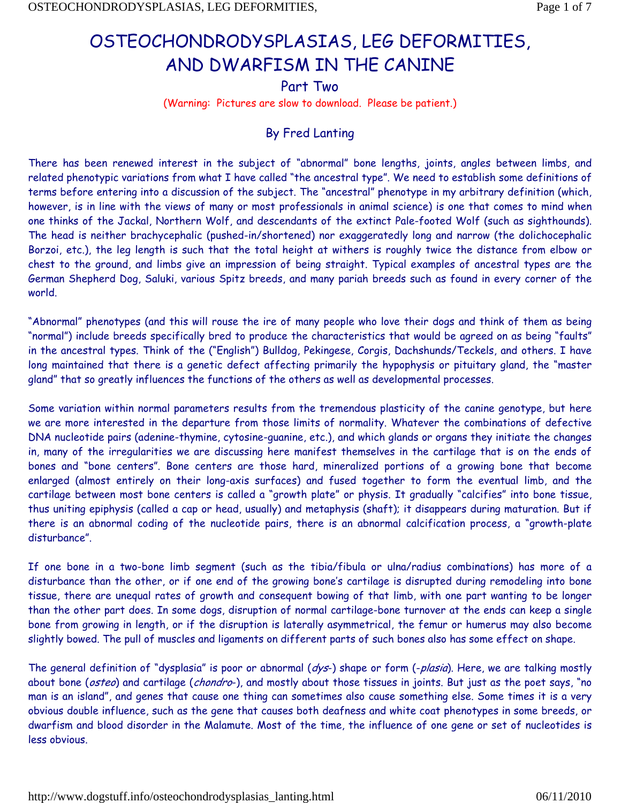# OSTEOCHONDRODYSPLASIAS, LEG DEFORMITIES, AND DWARFISM IN THE CANINE

Part Two

(Warning: Pictures are slow to download. Please be patient.)

## By Fred Lanting

There has been renewed interest in the subject of "abnormal" bone lengths, joints, angles between limbs, and related phenotypic variations from what I have called "the ancestral type". We need to establish some definitions of terms before entering into a discussion of the subject. The "ancestral" phenotype in my arbitrary definition (which, however, is in line with the views of many or most professionals in animal science) is one that comes to mind when one thinks of the Jackal, Northern Wolf, and descendants of the extinct Pale-footed Wolf (such as sighthounds). The head is neither brachycephalic (pushed-in/shortened) nor exaggeratedly long and narrow (the dolichocephalic Borzoi, etc.), the leg length is such that the total height at withers is roughly twice the distance from elbow or chest to the ground, and limbs give an impression of being straight. Typical examples of ancestral types are the German Shepherd Dog, Saluki, various Spitz breeds, and many pariah breeds such as found in every corner of the world.

"Abnormal" phenotypes (and this will rouse the ire of many people who love their dogs and think of them as being "normal") include breeds specifically bred to produce the characteristics that would be agreed on as being "faults" in the ancestral types. Think of the ("English") Bulldog, Pekingese, Corgis, Dachshunds/Teckels, and others. I have long maintained that there is a genetic defect affecting primarily the hypophysis or pituitary gland, the "master gland" that so greatly influences the functions of the others as well as developmental processes.

Some variation within normal parameters results from the tremendous plasticity of the canine genotype, but here we are more interested in the departure from those limits of normality. Whatever the combinations of defective DNA nucleotide pairs (adenine-thymine, cytosine-guanine, etc.), and which glands or organs they initiate the changes in, many of the irregularities we are discussing here manifest themselves in the cartilage that is on the ends of bones and "bone centers". Bone centers are those hard, mineralized portions of a growing bone that become enlarged (almost entirely on their long-axis surfaces) and fused together to form the eventual limb, and the cartilage between most bone centers is called a "growth plate" or physis. It gradually "calcifies" into bone tissue, thus uniting epiphysis (called a cap or head, usually) and metaphysis (shaft); it disappears during maturation. But if there is an abnormal coding of the nucleotide pairs, there is an abnormal calcification process, a "growth-plate disturbance".

If one bone in a two-bone limb segment (such as the tibia/fibula or ulna/radius combinations) has more of a disturbance than the other, or if one end of the growing bone's cartilage is disrupted during remodeling into bone tissue, there are unequal rates of growth and consequent bowing of that limb, with one part wanting to be longer than the other part does. In some dogs, disruption of normal cartilage-bone turnover at the ends can keep a single bone from growing in length, or if the disruption is laterally asymmetrical, the femur or humerus may also become slightly bowed. The pull of muscles and ligaments on different parts of such bones also has some effect on shape.

The general definition of "dysplasia" is poor or abnormal (dys-) shape or form (-plasia). Here, we are talking mostly about bone (osteo) and cartilage (chondro-), and mostly about those tissues in joints. But just as the poet says, "no man is an island", and genes that cause one thing can sometimes also cause something else. Some times it is a very obvious double influence, such as the gene that causes both deafness and white coat phenotypes in some breeds, or dwarfism and blood disorder in the Malamute. Most of the time, the influence of one gene or set of nucleotides is less obvious.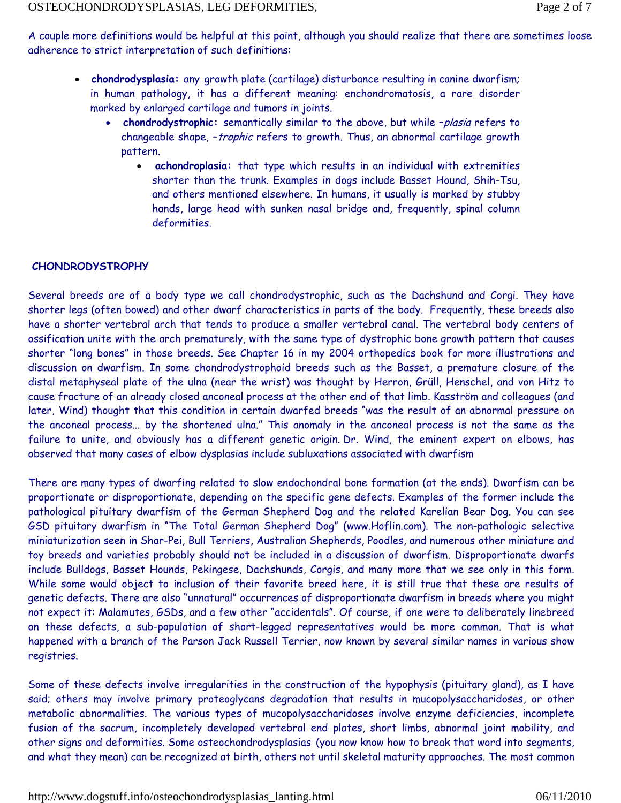A couple more definitions would be helpful at this point, although you should realize that there are sometimes loose adherence to strict interpretation of such definitions:

- **chondrodysplasia:** any growth plate (cartilage) disturbance resulting in canine dwarfism; in human pathology, it has a different meaning: enchondromatosis, a rare disorder marked by enlarged cartilage and tumors in joints.
	- **chondrodystrophic:** semantically similar to the above, but while –plasia refers to changeable shape, - trophic refers to growth. Thus, an abnormal cartilage growth pattern.
		- **achondroplasia:** that type which results in an individual with extremities shorter than the trunk. Examples in dogs include Basset Hound, Shih-Tsu, and others mentioned elsewhere. In humans, it usually is marked by stubby hands, large head with sunken nasal bridge and, frequently, spinal column deformities.

### **CHONDRODYSTROPHY**

Several breeds are of a body type we call chondrodystrophic, such as the Dachshund and Corgi. They have shorter legs (often bowed) and other dwarf characteristics in parts of the body. Frequently, these breeds also have a shorter vertebral arch that tends to produce a smaller vertebral canal. The vertebral body centers of ossification unite with the arch prematurely, with the same type of dystrophic bone growth pattern that causes shorter "long bones" in those breeds. See Chapter 16 in my 2004 orthopedics book for more illustrations and discussion on dwarfism. In some chondrodystrophoid breeds such as the Basset, a premature closure of the distal metaphyseal plate of the ulna (near the wrist) was thought by Herron, Grüll, Henschel, and von Hitz to cause fracture of an already closed anconeal process at the other end of that limb. Kasström and colleagues (and later, Wind) thought that this condition in certain dwarfed breeds "was the result of an abnormal pressure on the anconeal process... by the shortened ulna." This anomaly in the anconeal process is not the same as the failure to unite, and obviously has a different genetic origin. Dr. Wind, the eminent expert on elbows, has observed that many cases of elbow dysplasias include subluxations associated with dwarfism

There are many types of dwarfing related to slow endochondral bone formation (at the ends). Dwarfism can be proportionate or disproportionate, depending on the specific gene defects. Examples of the former include the pathological pituitary dwarfism of the German Shepherd Dog and the related Karelian Bear Dog. You can see GSD pituitary dwarfism in "The Total German Shepherd Dog" (www.Hoflin.com). The non-pathologic selective miniaturization seen in Shar-Pei, Bull Terriers, Australian Shepherds, Poodles, and numerous other miniature and toy breeds and varieties probably should not be included in a discussion of dwarfism. Disproportionate dwarfs include Bulldogs, Basset Hounds, Pekingese, Dachshunds, Corgis, and many more that we see only in this form. While some would object to inclusion of their favorite breed here, it is still true that these are results of genetic defects. There are also "unnatural" occurrences of disproportionate dwarfism in breeds where you might not expect it: Malamutes, GSDs, and a few other "accidentals". Of course, if one were to deliberately linebreed on these defects, a sub-population of short-legged representatives would be more common. That is what happened with a branch of the Parson Jack Russell Terrier, now known by several similar names in various show registries.

Some of these defects involve irregularities in the construction of the hypophysis (pituitary gland), as I have said; others may involve primary proteoglycans degradation that results in mucopolysaccharidoses, or other metabolic abnormalities. The various types of mucopolysaccharidoses involve enzyme deficiencies, incomplete fusion of the sacrum, incompletely developed vertebral end plates, short limbs, abnormal joint mobility, and other signs and deformities. Some osteochondrodysplasias (you now know how to break that word into segments, and what they mean) can be recognized at birth, others not until skeletal maturity approaches. The most common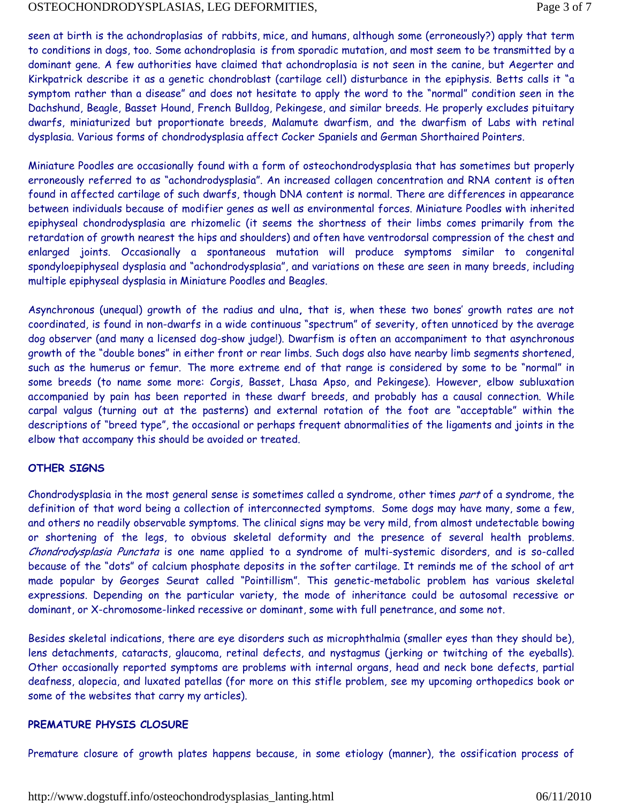seen at birth is the achondroplasias of rabbits, mice, and humans, although some (erroneously?) apply that term to conditions in dogs, too. Some achondroplasia is from sporadic mutation, and most seem to be transmitted by a dominant gene. A few authorities have claimed that achondroplasia is not seen in the canine, but Aegerter and Kirkpatrick describe it as a genetic chondroblast (cartilage cell) disturbance in the epiphysis. Betts calls it "a symptom rather than a disease" and does not hesitate to apply the word to the "normal" condition seen in the Dachshund, Beagle, Basset Hound, French Bulldog, Pekingese, and similar breeds. He properly excludes pituitary dwarfs, miniaturized but proportionate breeds, Malamute dwarfism, and the dwarfism of Labs with retinal dysplasia. Various forms of chondrodysplasia affect Cocker Spaniels and German Shorthaired Pointers.

Miniature Poodles are occasionally found with a form of osteochondrodysplasia that has sometimes but properly erroneously referred to as "achondrodysplasia". An increased collagen concentration and RNA content is often found in affected cartilage of such dwarfs, though DNA content is normal. There are differences in appearance between individuals because of modifier genes as well as environmental forces. Miniature Poodles with inherited epiphyseal chondrodysplasia are rhizomelic (it seems the shortness of their limbs comes primarily from the retardation of growth nearest the hips and shoulders) and often have ventrodorsal compression of the chest and enlarged joints. Occasionally a spontaneous mutation will produce symptoms similar to congenital spondyloepiphyseal dysplasia and "achondrodysplasia", and variations on these are seen in many breeds, including multiple epiphyseal dysplasia in Miniature Poodles and Beagles.

Asynchronous (unequal) growth of the radius and ulna**,** that is, when these two bones' growth rates are not coordinated, is found in non-dwarfs in a wide continuous "spectrum" of severity, often unnoticed by the average dog observer (and many a licensed dog-show judge!). Dwarfism is often an accompaniment to that asynchronous growth of the "double bones" in either front or rear limbs. Such dogs also have nearby limb segments shortened, such as the humerus or femur. The more extreme end of that range is considered by some to be "normal" in some breeds (to name some more: Corgis, Basset, Lhasa Apso, and Pekingese). However, elbow subluxation accompanied by pain has been reported in these dwarf breeds, and probably has a causal connection. While carpal valgus (turning out at the pasterns) and external rotation of the foot are "acceptable" within the descriptions of "breed type", the occasional or perhaps frequent abnormalities of the ligaments and joints in the elbow that accompany this should be avoided or treated.

#### **OTHER SIGNS**

Chondrodysplasia in the most general sense is sometimes called a syndrome, other times part of a syndrome, the definition of that word being a collection of interconnected symptoms. Some dogs may have many, some a few, and others no readily observable symptoms. The clinical signs may be very mild, from almost undetectable bowing or shortening of the legs, to obvious skeletal deformity and the presence of several health problems. Chondrodysplasia Punctata is one name applied to a syndrome of multi-systemic disorders, and is so-called because of the "dots" of calcium phosphate deposits in the softer cartilage. It reminds me of the school of art made popular by Georges Seurat called "Pointillism". This genetic-metabolic problem has various skeletal expressions. Depending on the particular variety, the mode of inheritance could be autosomal recessive or dominant, or X-chromosome-linked recessive or dominant, some with full penetrance, and some not.

Besides skeletal indications, there are eye disorders such as microphthalmia (smaller eyes than they should be), lens detachments, cataracts, glaucoma, retinal defects, and nystagmus (jerking or twitching of the eyeballs). Other occasionally reported symptoms are problems with internal organs, head and neck bone defects, partial deafness, alopecia, and luxated patellas (for more on this stifle problem, see my upcoming orthopedics book or some of the websites that carry my articles).

#### **PREMATURE PHYSIS CLOSURE**

Premature closure of growth plates happens because, in some etiology (manner), the ossification process of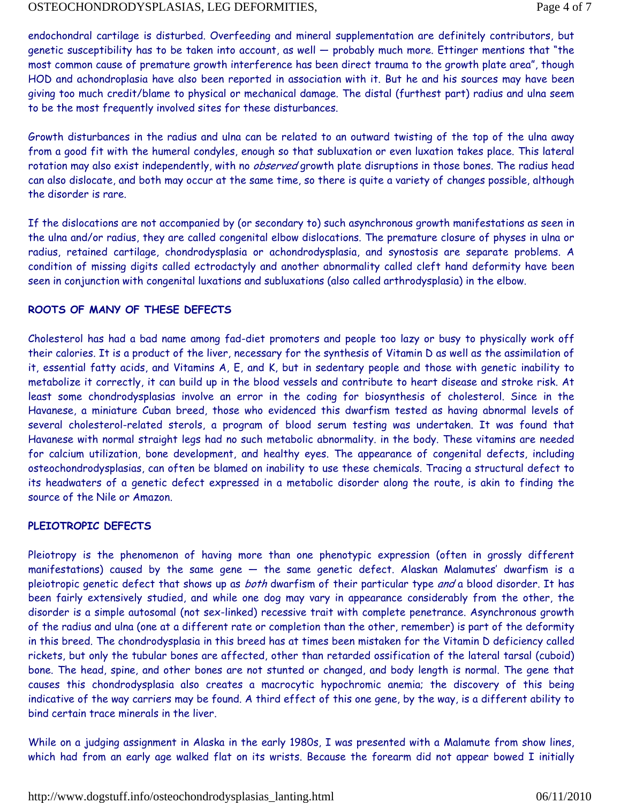endochondral cartilage is disturbed. Overfeeding and mineral supplementation are definitely contributors, but genetic susceptibility has to be taken into account, as well — probably much more. Ettinger mentions that "the most common cause of premature growth interference has been direct trauma to the growth plate area", though HOD and achondroplasia have also been reported in association with it. But he and his sources may have been giving too much credit/blame to physical or mechanical damage. The distal (furthest part) radius and ulna seem to be the most frequently involved sites for these disturbances.

Growth disturbances in the radius and ulna can be related to an outward twisting of the top of the ulna away from a good fit with the humeral condyles, enough so that subluxation or even luxation takes place. This lateral rotation may also exist independently, with no *observed* growth plate disruptions in those bones. The radius head can also dislocate, and both may occur at the same time, so there is quite a variety of changes possible, although the disorder is rare.

If the dislocations are not accompanied by (or secondary to) such asynchronous growth manifestations as seen in the ulna and/or radius, they are called congenital elbow dislocations. The premature closure of physes in ulna or radius, retained cartilage, chondrodysplasia or achondrodysplasia, and synostosis are separate problems. A condition of missing digits called ectrodactyly and another abnormality called cleft hand deformity have been seen in conjunction with congenital luxations and subluxations (also called arthrodysplasia) in the elbow.

#### **ROOTS OF MANY OF THESE DEFECTS**

Cholesterol has had a bad name among fad-diet promoters and people too lazy or busy to physically work off their calories. It is a product of the liver, necessary for the synthesis of Vitamin D as well as the assimilation of it, essential fatty acids, and Vitamins A, E, and K, but in sedentary people and those with genetic inability to metabolize it correctly, it can build up in the blood vessels and contribute to heart disease and stroke risk. At least some chondrodysplasias involve an error in the coding for biosynthesis of cholesterol. Since in the Havanese, a miniature Cuban breed, those who evidenced this dwarfism tested as having abnormal levels of several cholesterol-related sterols, a program of blood serum testing was undertaken. It was found that Havanese with normal straight legs had no such metabolic abnormality. in the body. These vitamins are needed for calcium utilization, bone development, and healthy eyes. The appearance of congenital defects, including osteochondrodysplasias, can often be blamed on inability to use these chemicals. Tracing a structural defect to its headwaters of a genetic defect expressed in a metabolic disorder along the route, is akin to finding the source of the Nile or Amazon.

#### **PLEIOTROPIC DEFECTS**

Pleiotropy is the phenomenon of having more than one phenotypic expression (often in grossly different manifestations) caused by the same gene — the same genetic defect. Alaskan Malamutes' dwarfism is a pleiotropic genetic defect that shows up as both dwarfism of their particular type and a blood disorder. It has been fairly extensively studied, and while one dog may vary in appearance considerably from the other, the disorder is a simple autosomal (not sex-linked) recessive trait with complete penetrance. Asynchronous growth of the radius and ulna (one at a different rate or completion than the other, remember) is part of the deformity in this breed. The chondrodysplasia in this breed has at times been mistaken for the Vitamin D deficiency called rickets, but only the tubular bones are affected, other than retarded ossification of the lateral tarsal (cuboid) bone. The head, spine, and other bones are not stunted or changed, and body length is normal. The gene that causes this chondrodysplasia also creates a macrocytic hypochromic anemia; the discovery of this being indicative of the way carriers may be found. A third effect of this one gene, by the way, is a different ability to bind certain trace minerals in the liver.

While on a judging assignment in Alaska in the early 1980s, I was presented with a Malamute from show lines, which had from an early age walked flat on its wrists. Because the forearm did not appear bowed I initially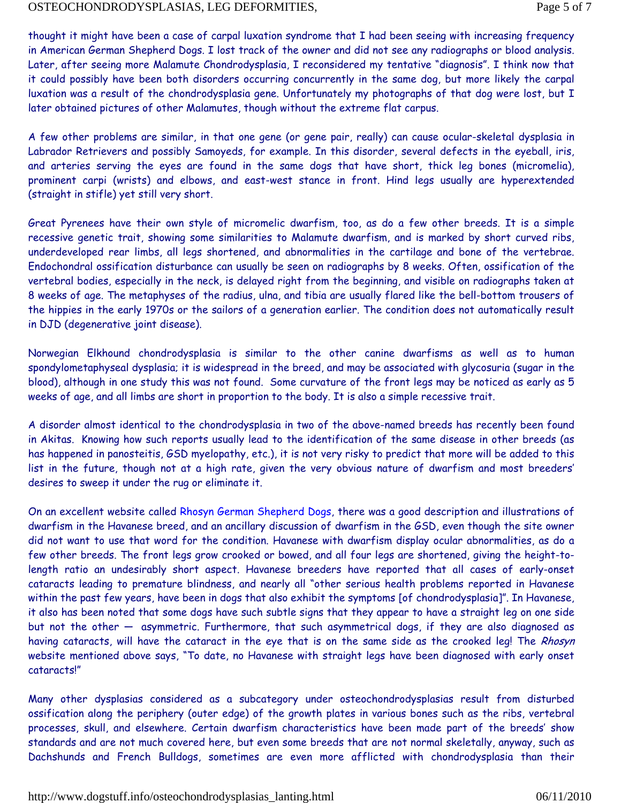thought it might have been a case of carpal luxation syndrome that I had been seeing with increasing frequency in American German Shepherd Dogs. I lost track of the owner and did not see any radiographs or blood analysis. Later, after seeing more Malamute Chondrodysplasia, I reconsidered my tentative "diagnosis". I think now that it could possibly have been both disorders occurring concurrently in the same dog, but more likely the carpal luxation was a result of the chondrodysplasia gene. Unfortunately my photographs of that dog were lost, but I later obtained pictures of other Malamutes, though without the extreme flat carpus.

A few other problems are similar, in that one gene (or gene pair, really) can cause ocular-skeletal dysplasia in Labrador Retrievers and possibly Samoyeds, for example. In this disorder, several defects in the eyeball, iris, and arteries serving the eyes are found in the same dogs that have short, thick leg bones (micromelia), prominent carpi (wrists) and elbows, and east-west stance in front. Hind legs usually are hyperextended (straight in stifle) yet still very short.

Great Pyrenees have their own style of micromelic dwarfism, too, as do a few other breeds. It is a simple recessive genetic trait, showing some similarities to Malamute dwarfism, and is marked by short curved ribs, underdeveloped rear limbs, all legs shortened, and abnormalities in the cartilage and bone of the vertebrae. Endochondral ossification disturbance can usually be seen on radiographs by 8 weeks. Often, ossification of the vertebral bodies, especially in the neck, is delayed right from the beginning, and visible on radiographs taken at 8 weeks of age. The metaphyses of the radius, ulna, and tibia are usually flared like the bell-bottom trousers of the hippies in the early 1970s or the sailors of a generation earlier. The condition does not automatically result in DJD (degenerative joint disease).

Norwegian Elkhound chondrodysplasia is similar to the other canine dwarfisms as well as to human spondylometaphyseal dysplasia; it is widespread in the breed, and may be associated with glycosuria (sugar in the blood), although in one study this was not found. Some curvature of the front legs may be noticed as early as 5 weeks of age, and all limbs are short in proportion to the body. It is also a simple recessive trait.

A disorder almost identical to the chondrodysplasia in two of the above-named breeds has recently been found in Akitas. Knowing how such reports usually lead to the identification of the same disease in other breeds (as has happened in panosteitis, GSD myelopathy, etc.), it is not very risky to predict that more will be added to this list in the future, though not at a high rate, given the very obvious nature of dwarfism and most breeders' desires to sweep it under the rug or eliminate it.

On an excellent website called Rhosyn German Shepherd Dogs, there was a good description and illustrations of dwarfism in the Havanese breed, and an ancillary discussion of dwarfism in the GSD, even though the site owner did not want to use that word for the condition. Havanese with dwarfism display ocular abnormalities, as do a few other breeds. The front legs grow crooked or bowed, and all four legs are shortened, giving the height-tolength ratio an undesirably short aspect. Havanese breeders have reported that all cases of early-onset cataracts leading to premature blindness, and nearly all "other serious health problems reported in Havanese within the past few years, have been in dogs that also exhibit the symptoms [of chondrodysplasia]". In Havanese, it also has been noted that some dogs have such subtle signs that they appear to have a straight leg on one side but not the other — asymmetric. Furthermore, that such asymmetrical dogs, if they are also diagnosed as having cataracts, will have the cataract in the eye that is on the same side as the crooked leg! The Rhosyn website mentioned above says, "To date, no Havanese with straight legs have been diagnosed with early onset cataracts!"

Many other dysplasias considered as a subcategory under osteochondrodysplasias result from disturbed ossification along the periphery (outer edge) of the growth plates in various bones such as the ribs, vertebral processes, skull, and elsewhere. Certain dwarfism characteristics have been made part of the breeds' show standards and are not much covered here, but even some breeds that are not normal skeletally, anyway, such as Dachshunds and French Bulldogs, sometimes are even more afflicted with chondrodysplasia than their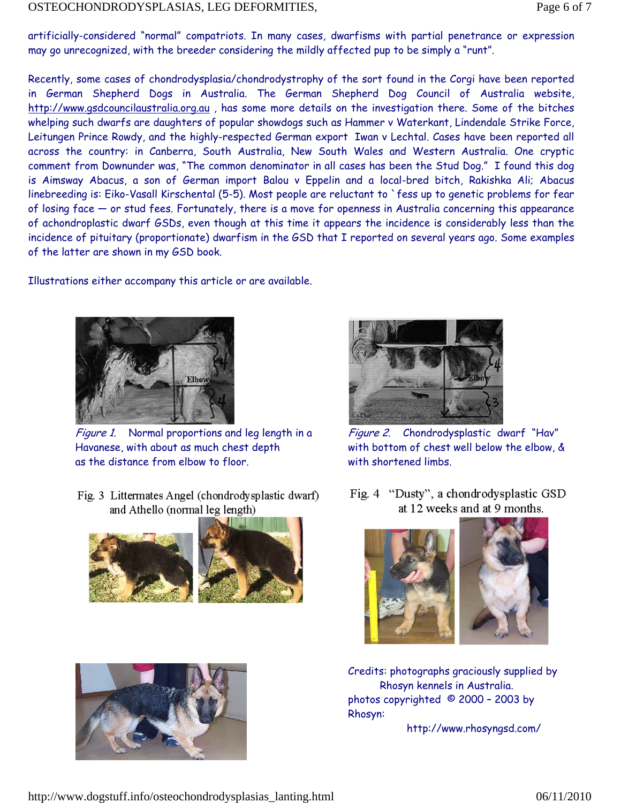artificially-considered "normal" compatriots. In many cases, dwarfisms with partial penetrance or expression may go unrecognized, with the breeder considering the mildly affected pup to be simply a "runt".

Recently, some cases of chondrodysplasia/chondrodystrophy of the sort found in the Corgi have been reported in German Shepherd Dogs in Australia. The German Shepherd Dog Council of Australia website, http://www.gsdcouncilaustralia.org.au , has some more details on the investigation there. Some of the bitches whelping such dwarfs are daughters of popular showdogs such as Hammer v Waterkant, Lindendale Strike Force, Leitungen Prince Rowdy, and the highly-respected German export Iwan v Lechtal. Cases have been reported all across the country: in Canberra, South Australia, New South Wales and Western Australia. One cryptic comment from Downunder was, "The common denominator in all cases has been the Stud Dog." I found this dog is Aimsway Abacus, a son of German import Balou v Eppelin and a local-bred bitch, Rakishka Ali; Abacus linebreeding is: Eiko-Vasall Kirschental (5-5). Most people are reluctant to `fess up to genetic problems for fear of losing face — or stud fees. Fortunately, there is a move for openness in Australia concerning this appearance of achondroplastic dwarf GSDs, even though at this time it appears the incidence is considerably less than the incidence of pituitary (proportionate) dwarfism in the GSD that I reported on several years ago. Some examples of the latter are shown in my GSD book.

Illustrations either accompany this article or are available.



Figure 1. Normal proportions and leg length in a Havanese, with about as much chest depth as the distance from elbow to floor.

Fig. 3 Littermates Angel (chondrody splastic dwarf) and Athello (normal leg length)







Figure 2. Chondrodysplastic dwarf "Hav" with bottom of chest well below the elbow, & with shortened limbs.

Fig. 4 "Dusty", a chondrodysplastic GSD at 12 weeks and at 9 months.



Credits: photographs graciously supplied by Rhosyn kennels in Australia. photos copyrighted © 2000 – 2003 by Rhosyn:

http://www.rhosyngsd.com/